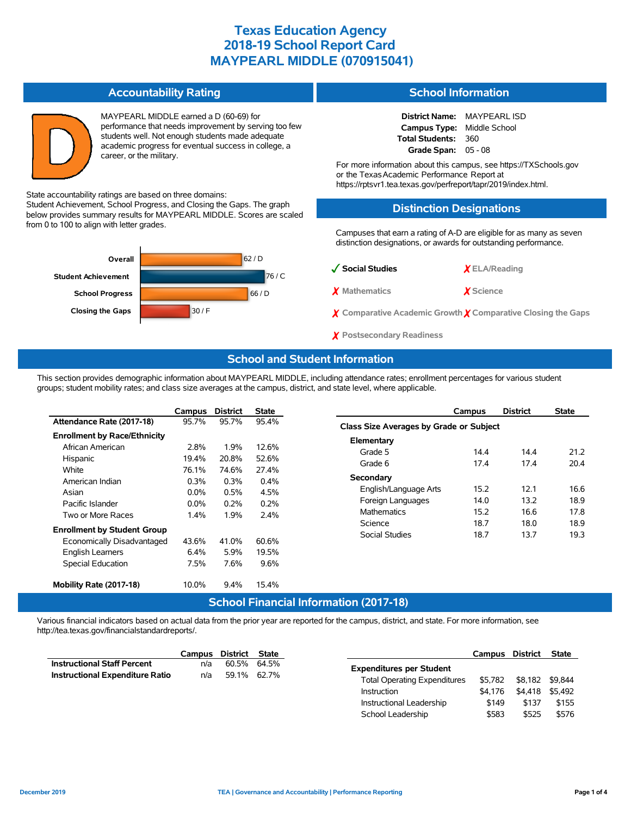#### **Accountability Rating**

MAYPEARL MIDDLE earned a D (60-69) for performance that needs improvement by serving too few students well. Not enough students made adequate academic progress for eventual success in college, a career, or the military.

State accountability ratings are based on three domains:

Student Achievement, School Progress, and Closing the Gaps. The graph below provides summary results for MAYPEARL MIDDLE. Scores are scaled from 0 to 100 to align with letter grades.



### **School Information**

**District Name:** MAYPEARL ISD **Campus Type:** Middle School **Total Students:** 360 **Grade Span:** 05 - 08

For more information about this campus, see https://TXSchools.gov or the TexasAcademic Performance Report at https://rptsvr1.tea.texas.gov/perfreport/tapr/2019/index.html.

### **Distinction Designations**

Campuses that earn a rating of A-D are eligible for as many as seven distinction designations, or awards for outstanding performance.

| √ Social Studies | $X$ ELA/Reading  |  |  |  |
|------------------|------------------|--|--|--|
| X Mathematics    | <i>X</i> Science |  |  |  |

- ✗ **Comparative Academic Growth** ✗ **Comparative Closing the Gaps**
- ✗ **Postsecondary Readiness**

#### **School and Student Information**

This section provides demographic information about MAYPEARL MIDDLE, including attendance rates; enrollment percentages for various student groups; student mobility rates; and class size averages at the campus, district, and state level, where applicable.

|                                     | Campus  | <b>District</b> | <b>State</b> |
|-------------------------------------|---------|-----------------|--------------|
| Attendance Rate (2017-18)           | 95.7%   | 95.7%           | 95.4%        |
| <b>Enrollment by Race/Ethnicity</b> |         |                 |              |
| African American                    | 2.8%    | 1.9%            | 12.6%        |
| Hispanic                            | 19.4%   | 20.8%           | 52.6%        |
| White                               | 76.1%   | 74.6%           | 27.4%        |
| American Indian                     | $0.3\%$ | $0.3\%$         | $0.4\%$      |
| Asian                               | $0.0\%$ | 0.5%            | 4.5%         |
| Pacific Islander                    | $0.0\%$ | $0.2\%$         | 0.2%         |
| Two or More Races                   | 1.4%    | 1.9%            | 2.4%         |
| <b>Enrollment by Student Group</b>  |         |                 |              |
| Economically Disadvantaged          | 43.6%   | 41.0%           | 60.6%        |
| <b>English Learners</b>             | $6.4\%$ | 5.9%            | 19.5%        |
| <b>Special Education</b>            | 7.5%    | 7.6%            | 9.6%         |
|                                     |         |                 |              |
| Mobility Rate (2017-18)             | 10.0%   | $9.4\%$         | 15.4%        |
|                                     |         | ___             | $- \cdot$    |

|                                         | Campus | <b>District</b> | <b>State</b> |  |  |  |  |  |  |  |  |
|-----------------------------------------|--------|-----------------|--------------|--|--|--|--|--|--|--|--|
| Class Size Averages by Grade or Subject |        |                 |              |  |  |  |  |  |  |  |  |
| Elementary                              |        |                 |              |  |  |  |  |  |  |  |  |
| Grade 5                                 | 144    | 144             | 21.2         |  |  |  |  |  |  |  |  |
| Grade 6                                 | 174    | 174             | 204          |  |  |  |  |  |  |  |  |
| Secondary                               |        |                 |              |  |  |  |  |  |  |  |  |
| English/Language Arts                   | 15.2   | 121             | 16 6         |  |  |  |  |  |  |  |  |
| Foreign Languages                       | 14 0   | 13.2            | 18.9         |  |  |  |  |  |  |  |  |
| <b>Mathematics</b>                      | 15.2   | 16.6            | 17.8         |  |  |  |  |  |  |  |  |
| Science                                 | 18.7   | 18.0            | 18.9         |  |  |  |  |  |  |  |  |
| Social Studies                          | 18.7   | 13.7            | 19.3         |  |  |  |  |  |  |  |  |

### **School Financial Information (2017-18)**

Various financial indicators based on actual data from the prior year are reported for the campus, district, and state. For more information, see http://tea.texas.gov/financialstandardreports/.

|                                        | Campus                   | District | State       |                                                    |                    | Campus District                    |  |
|----------------------------------------|--------------------------|----------|-------------|----------------------------------------------------|--------------------|------------------------------------|--|
| <b>Instructional Staff Percent</b>     | n/a                      | 60.5%    | 64.5%       | <b>Expenditures per Student</b>                    |                    |                                    |  |
| <b>Instructional Expenditure Ratio</b> | n/a                      |          | 59.1% 62.7% | <b>Total Operating Expenditures</b><br>Instruction | \$5.782<br>\$4.176 | \$8.182 \$9.844<br>\$4,418 \$5,492 |  |
|                                        | Instructional Leadership |          |             | \$149                                              | \$137              |                                    |  |
|                                        |                          |          |             | School Leadership                                  | \$583              | \$525                              |  |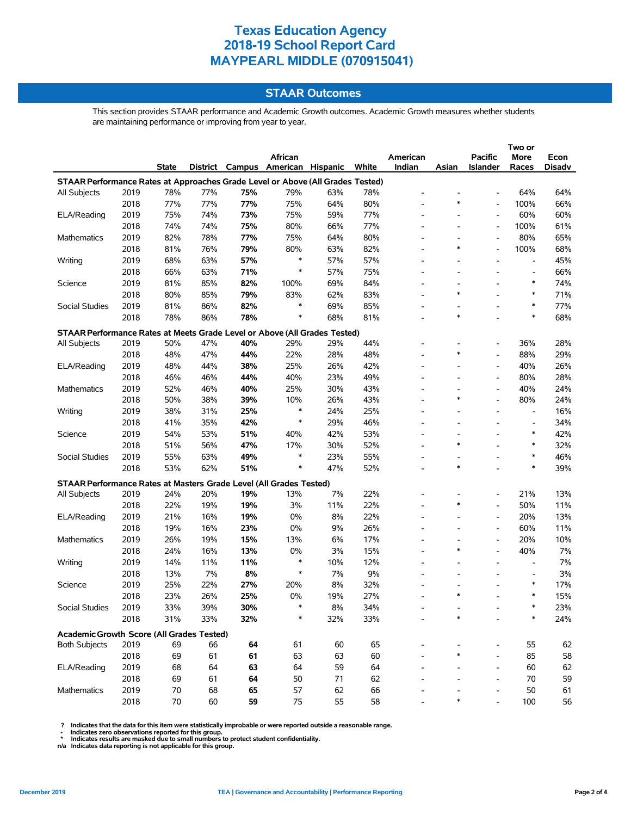### **STAAR Outcomes**

This section provides STAAR performance and Academic Growth outcomes. Academic Growth measures whether students are maintaining performance or improving from year to year.

|                                                                                    |      |       |     |     |                                   |     |       |          |                          |                              | Two or                   |        |
|------------------------------------------------------------------------------------|------|-------|-----|-----|-----------------------------------|-----|-------|----------|--------------------------|------------------------------|--------------------------|--------|
|                                                                                    |      |       |     |     | African                           |     |       | American |                          | Pacific                      | More                     | Econ   |
|                                                                                    |      | State |     |     | District Campus American Hispanic |     | White | Indian   | Asian                    | <b>Islander</b>              | Races                    | Disadv |
| STAAR Performance Rates at Approaches Grade Level or Above (All Grades Tested)     |      |       |     |     |                                   |     |       |          |                          |                              |                          |        |
| All Subjects                                                                       | 2019 | 78%   | 77% | 75% | 79%                               | 63% | 78%   |          |                          |                              | 64%                      | 64%    |
|                                                                                    | 2018 | 77%   | 77% | 77% | 75%                               | 64% | 80%   |          | $\ast$                   | L,                           | 100%                     | 66%    |
| ELA/Reading                                                                        | 2019 | 75%   | 74% | 73% | 75%                               | 59% | 77%   |          |                          | $\qquad \qquad \blacksquare$ | 60%                      | 60%    |
|                                                                                    | 2018 | 74%   | 74% | 75% | 80%                               | 66% | 77%   |          |                          | $\overline{a}$               | 100%                     | 61%    |
| Mathematics                                                                        | 2019 | 82%   | 78% | 77% | 75%                               | 64% | 80%   |          |                          |                              | 80%                      | 65%    |
|                                                                                    | 2018 | 81%   | 76% | 79% | 80%                               | 63% | 82%   |          | *                        | $\overline{\phantom{a}}$     | 100%                     | 68%    |
| Writing                                                                            | 2019 | 68%   | 63% | 57% | $\ast$                            | 57% | 57%   |          |                          |                              |                          | 45%    |
|                                                                                    | 2018 | 66%   | 63% | 71% | $\ast$                            | 57% | 75%   |          | $\overline{\phantom{0}}$ |                              | $\overline{a}$           | 66%    |
| Science                                                                            | 2019 | 81%   | 85% | 82% | 100%                              | 69% | 84%   |          | $\overline{\phantom{0}}$ |                              | *                        | 74%    |
|                                                                                    | 2018 | 80%   | 85% | 79% | 83%                               | 62% | 83%   |          | *                        |                              | ∗                        | 71%    |
| Social Studies                                                                     | 2019 | 81%   | 86% | 82% | $\ast$                            | 69% | 85%   |          | $\overline{\phantom{0}}$ |                              | $\ast$                   | 77%    |
|                                                                                    | 2018 | 78%   | 86% | 78% | $\ast$                            | 68% | 81%   |          | *                        |                              | $\ast$                   | 68%    |
|                                                                                    |      |       |     |     |                                   |     |       |          |                          |                              |                          |        |
| STAAR Performance Rates at Meets Grade Level or Above (All Grades Tested)          |      |       |     |     |                                   |     |       |          |                          |                              |                          |        |
| All Subjects                                                                       | 2019 | 50%   | 47% | 40% | 29%                               | 29% | 44%   |          |                          | $\overline{\phantom{a}}$     | 36%                      | 28%    |
|                                                                                    | 2018 | 48%   | 47% | 44% | 22%                               | 28% | 48%   |          | *                        | $\overline{\phantom{a}}$     | 88%                      | 29%    |
| ELA/Reading                                                                        | 2019 | 48%   | 44% | 38% | 25%                               | 26% | 42%   |          |                          | $\overline{a}$               | 40%                      | 26%    |
|                                                                                    | 2018 | 46%   | 46% | 44% | 40%                               | 23% | 49%   |          |                          | $\overline{\phantom{a}}$     | 80%                      | 28%    |
| Mathematics                                                                        | 2019 | 52%   | 46% | 40% | 25%                               | 30% | 43%   |          |                          | $\overline{\phantom{a}}$     | 40%                      | 24%    |
|                                                                                    | 2018 | 50%   | 38% | 39% | 10%                               | 26% | 43%   |          | *                        | $\overline{\phantom{a}}$     | 80%                      | 24%    |
| Writing                                                                            | 2019 | 38%   | 31% | 25% | $\ast$                            | 24% | 25%   |          |                          |                              | $\overline{a}$           | 16%    |
|                                                                                    | 2018 | 41%   | 35% | 42% | $\ast$                            | 29% | 46%   |          |                          |                              |                          | 34%    |
| Science                                                                            | 2019 | 54%   | 53% | 51% | 40%                               | 42% | 53%   |          |                          |                              | *                        | 42%    |
|                                                                                    | 2018 | 51%   | 56% | 47% | 17%                               | 30% | 52%   |          | *                        |                              | $\ast$                   | 32%    |
| Social Studies                                                                     | 2019 | 55%   | 63% | 49% | $\ast$                            | 23% | 55%   |          |                          |                              | *                        | 46%    |
|                                                                                    | 2018 | 53%   | 62% | 51% | $\ast$                            | 47% | 52%   |          | $\ast$                   |                              | $\ast$                   | 39%    |
|                                                                                    |      |       |     |     |                                   |     |       |          |                          |                              |                          |        |
| STAAR Performance Rates at Masters Grade Level (All Grades Tested)<br>All Subjects | 2019 | 24%   | 20% | 19% | 13%                               | 7%  | 22%   |          |                          |                              | 21%                      | 13%    |
|                                                                                    | 2018 | 22%   | 19% | 19% | 3%                                | 11% | 22%   |          | $\ast$                   | $\overline{\phantom{a}}$     | 50%                      | 11%    |
| ELA/Reading                                                                        | 2019 | 21%   | 16% | 19% | 0%                                | 8%  | 22%   |          |                          |                              | 20%                      | 13%    |
|                                                                                    |      |       |     |     |                                   |     |       |          |                          | $\overline{\phantom{a}}$     |                          |        |
|                                                                                    | 2018 | 19%   | 16% | 23% | $0\%$                             | 9%  | 26%   |          |                          | $\overline{a}$               | 60%                      | 11%    |
| Mathematics                                                                        | 2019 | 26%   | 19% | 15% | 13%                               | 6%  | 17%   |          | $\ast$                   | $\overline{\phantom{a}}$     | 20%                      | 10%    |
|                                                                                    | 2018 | 24%   | 16% | 13% | 0%<br>$\ast$                      | 3%  | 15%   |          |                          |                              | 40%                      | 7%     |
| Writing                                                                            | 2019 | 14%   | 11% | 11% | $\ast$                            | 10% | 12%   |          |                          |                              |                          | 7%     |
|                                                                                    | 2018 | 13%   | 7%  | 8%  |                                   | 7%  | 9%    |          | $\overline{\phantom{0}}$ |                              | $\overline{\phantom{a}}$ | 3%     |
| Science                                                                            | 2019 | 25%   | 22% | 27% | 20%                               | 8%  | 32%   |          |                          |                              | *                        | 17%    |
|                                                                                    | 2018 | 23%   | 26% | 25% | $0\%$                             | 19% | 27%   |          | $\ast$                   |                              | *                        | 15%    |
| Social Studies                                                                     | 2019 | 33%   | 39% | 30% |                                   | 8%  | 34%   |          |                          |                              |                          | 23%    |
|                                                                                    | 2018 | 31%   | 33% | 32% | $\ast$                            | 32% | 33%   |          | *                        |                              | ∗                        | 24%    |
| Academic Growth Score (All Grades Tested)                                          |      |       |     |     |                                   |     |       |          |                          |                              |                          |        |
| <b>Both Subjects</b>                                                               | 2019 | 69    | 66  | 64  | 61                                | 60  | 65    |          |                          |                              | 55                       | 62     |
|                                                                                    | 2018 | 69    | 61  | 61  | 63                                | 63  | 60    |          | $\ast$                   |                              | 85                       | 58     |
| ELA/Reading                                                                        | 2019 | 68    | 64  | 63  | 64                                | 59  | 64    |          |                          | $\overline{a}$               | 60                       | 62     |
|                                                                                    | 2018 | 69    | 61  | 64  | 50                                | 71  | 62    |          |                          | $\overline{a}$               | 70                       | 59     |
| <b>Mathematics</b>                                                                 | 2019 | 70    | 68  | 65  | 57                                | 62  | 66    |          |                          |                              | 50                       | 61     |
|                                                                                    | 2018 | 70    | 60  | 59  | 75                                | 55  | 58    |          | $\ast$                   |                              | 100                      | 56     |
|                                                                                    |      |       |     |     |                                   |     |       |          |                          |                              |                          |        |

? Indicates that the data for this item were statistically improbable or were reported outside a reasonable range.<br>- Indicates zero observations reported for this group.<br>\* Indicates results are masked due to small numbers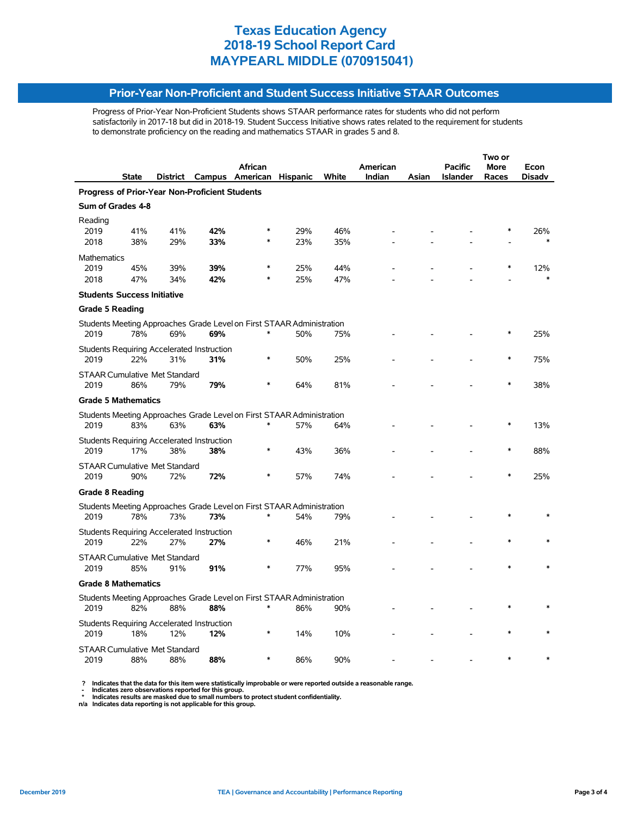### **Prior-Year Non-Proficient and Student Success Initiative STAAR Outcomes**

Progress of Prior-Year Non-Proficient Students shows STAAR performance rates for students who did not perform satisfactorily in 2017-18 but did in 2018-19. Student Success Initiative shows rates related to the requirement for students to demonstrate proficiency on the reading and mathematics STAAR in grades 5 and 8.

|                                                |                                             |          |                                                          | Two or                                                                |                 |       |          |       |                 |       |        |  |
|------------------------------------------------|---------------------------------------------|----------|----------------------------------------------------------|-----------------------------------------------------------------------|-----------------|-------|----------|-------|-----------------|-------|--------|--|
|                                                |                                             |          |                                                          | African                                                               |                 |       | American |       | Pacific         | More  | Econ   |  |
|                                                | State                                       | District |                                                          | Campus American                                                       | <b>Hispanic</b> | White | Indian   | Asian | <b>Islander</b> | Races | Disadv |  |
| Progress of Prior-Year Non-Proficient Students |                                             |          |                                                          |                                                                       |                 |       |          |       |                 |       |        |  |
| Sum of Grades 4-8                              |                                             |          |                                                          |                                                                       |                 |       |          |       |                 |       |        |  |
| Reading                                        |                                             |          |                                                          |                                                                       |                 |       |          |       |                 |       |        |  |
| 2019                                           | 41%                                         | 41%      | 42%                                                      |                                                                       | 29%             | 46%   |          |       |                 |       | 26%    |  |
| 2018                                           | 38%                                         | 29%      | 33%                                                      |                                                                       | 23%             | 35%   |          |       |                 |       |        |  |
| <b>Mathematics</b>                             |                                             |          |                                                          |                                                                       |                 |       |          |       |                 |       |        |  |
| 2019                                           | 45%                                         | 39%      | 39%                                                      |                                                                       | 25%             | 44%   |          |       |                 |       | 12%    |  |
| 2018                                           | 47%                                         | 34%      | 42%                                                      |                                                                       | 25%             | 47%   |          |       |                 |       |        |  |
|                                                | <b>Students Success Initiative</b>          |          |                                                          |                                                                       |                 |       |          |       |                 |       |        |  |
| <b>Grade 5 Reading</b>                         |                                             |          |                                                          |                                                                       |                 |       |          |       |                 |       |        |  |
|                                                |                                             |          |                                                          | Students Meeting Approaches Grade Level on First STAAR Administration |                 |       |          |       |                 |       |        |  |
| 2019                                           | 78%                                         | 69%      | 69%                                                      | ∗                                                                     | 50%             | 75%   |          |       |                 |       | 25%    |  |
|                                                |                                             |          | Students Requiring Accelerated Instruction               |                                                                       |                 |       |          |       |                 |       |        |  |
| 2019                                           | 22%                                         | 31%      | 31%                                                      | $\ast$                                                                | 50%             | 25%   |          |       |                 |       | 75%    |  |
|                                                | <b>STAAR Cumulative Met Standard</b>        |          |                                                          |                                                                       |                 |       |          |       |                 |       |        |  |
| 2019                                           | 86%                                         | 79%      | 79%                                                      |                                                                       | 64%             | 81%   |          |       |                 |       | 38%    |  |
|                                                | <b>Grade 5 Mathematics</b>                  |          |                                                          |                                                                       |                 |       |          |       |                 |       |        |  |
|                                                |                                             |          |                                                          | Students Meeting Approaches Grade Level on First STAAR Administration |                 |       |          |       |                 |       |        |  |
| 2019                                           | 83%                                         | 63%      | 63%                                                      |                                                                       | 57%             | 64%   |          |       |                 |       | 13%    |  |
|                                                |                                             |          |                                                          |                                                                       |                 |       |          |       |                 |       |        |  |
| 2019                                           | 17%                                         | 38%      | <b>Students Requiring Accelerated Instruction</b><br>38% |                                                                       | 43%             | 36%   |          |       |                 |       | 88%    |  |
|                                                |                                             |          |                                                          |                                                                       |                 |       |          |       |                 |       |        |  |
| 2019                                           | <b>STAAR Cumulative Met Standard</b><br>90% | 72%      | 72%                                                      |                                                                       | 57%             | 74%   |          |       |                 |       | 25%    |  |
|                                                |                                             |          |                                                          |                                                                       |                 |       |          |       |                 |       |        |  |
| <b>Grade 8 Reading</b>                         |                                             |          |                                                          |                                                                       |                 |       |          |       |                 |       |        |  |
|                                                |                                             |          |                                                          | Students Meeting Approaches Grade Level on First STAAR Administration |                 |       |          |       |                 |       |        |  |
| 2019                                           | 78%                                         | 73%      | 73%                                                      |                                                                       | 54%             | 79%   |          |       |                 |       |        |  |
|                                                |                                             |          | <b>Students Requiring Accelerated Instruction</b>        |                                                                       |                 |       |          |       |                 |       |        |  |
| 2019                                           | 22%                                         | 27%      | 27%                                                      | $\ast$                                                                | 46%             | 21%   |          |       |                 |       |        |  |
|                                                | <b>STAAR Cumulative Met Standard</b>        |          |                                                          |                                                                       |                 |       |          |       |                 |       |        |  |
| 2019                                           | 85%                                         | 91%      | 91%                                                      |                                                                       | 77%             | 95%   |          |       |                 |       |        |  |
|                                                | <b>Grade 8 Mathematics</b>                  |          |                                                          |                                                                       |                 |       |          |       |                 |       |        |  |
|                                                |                                             |          |                                                          | Students Meeting Approaches Grade Level on First STAAR Administration |                 |       |          |       |                 |       |        |  |
| 2019                                           | 82%                                         | 88%      | 88%                                                      | ∗                                                                     | 86%             | 90%   |          |       |                 |       |        |  |
|                                                |                                             |          | <b>Students Requiring Accelerated Instruction</b>        |                                                                       |                 |       |          |       |                 |       |        |  |
| 2019                                           | 18%                                         | 12%      | 12%                                                      |                                                                       | 14%             | 10%   |          |       |                 |       |        |  |
|                                                | <b>STAAR Cumulative Met Standard</b>        |          |                                                          |                                                                       |                 |       |          |       |                 |       |        |  |
| 2019                                           | 88%                                         | 88%      | 88%                                                      |                                                                       | 86%             | 90%   |          |       |                 |       |        |  |
|                                                |                                             |          |                                                          |                                                                       |                 |       |          |       |                 |       |        |  |

 **? Indicates that the data for this item were statistically improbable or were reported outside a reasonable range.**

 **- Indicates zero observations reported for this group. \* Indicates results are masked due to small numbers to protect student confidentiality.**

**n/a Indicates data reporting is not applicable for this group.**